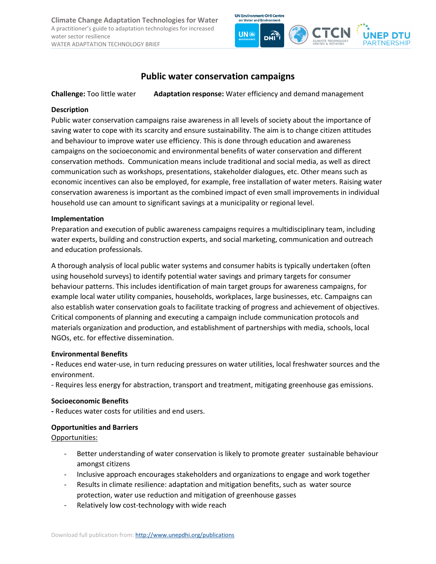**Climate Change Adaptation Technologies for Water** A practitioner's guide to adaptation technologies for increased water sector resilience WATER ADAPTATION TECHNOLOGY BRIEF



# **Public water conservation campaigns**

**Challenge:** Too little water **Adaptation response:** Water efficiency and demand management

#### **Description**

Public water conservation campaigns raise awareness in all levels of society about the importance of saving water to cope with its scarcity and ensure sustainability. The aim is to change citizen attitudes and behaviour to improve water use efficiency. This is done through education and awareness campaigns on the socioeconomic and environmental benefits of water conservation and different conservation methods. Communication means include traditional and social media, as well as direct communication such as workshops, presentations, stakeholder dialogues, etc. Other means such as economic incentives can also be employed, for example, free installation of water meters. Raising water conservation awareness is important as the combined impact of even small improvements in individual household use can amount to significant savings at a municipality or regional level.

#### **Implementation**

Preparation and execution of public awareness campaigns requires a multidisciplinary team, including water experts, building and construction experts, and social marketing, communication and outreach and education professionals.

A thorough analysis of local public water systems and consumer habits is typically undertaken (often using household surveys) to identify potential water savings and primary targets for consumer behaviour patterns. This includes identification of main target groups for awareness campaigns, for example local water utility companies, households, workplaces, large businesses, etc. Campaigns can also establish water conservation goals to facilitate tracking of progress and achievement of objectives. Critical components of planning and executing a campaign include communication protocols and materials organization and production, and establishment of partnerships with media, schools, local NGOs, etc. for effective dissemination.

# **Environmental Benefits**

**-** Reduces end water-use, in turn reducing pressures on water utilities, local freshwater sources and the environment.

- Requires less energy for abstraction, transport and treatment, mitigating greenhouse gas emissions.

# **Socioeconomic Benefits**

**-** Reduces water costs for utilities and end users.

# **Opportunities and Barriers**

# Opportunities:

- Better understanding of water conservation is likely to promote greater sustainable behaviour amongst citizens
- Inclusive approach encourages stakeholders and organizations to engage and work together
- Results in climate resilience: adaptation and mitigation benefits, such as water source protection, water use reduction and mitigation of greenhouse gasses
- Relatively low cost-technology with wide reach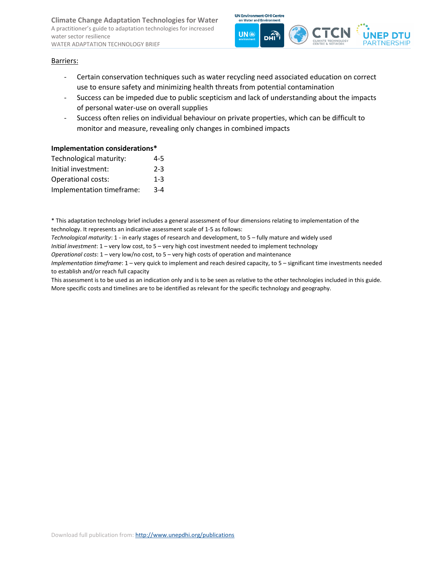**Climate Change Adaptation Technologies for Water** A practitioner's guide to adaptation technologies for increased water sector resilience WATER ADAPTATION TECHNOLOGY BRIEF



#### Barriers:

- Certain conservation techniques such as water recycling need associated education on correct use to ensure safety and minimizing health threats from potential contamination
- Success can be impeded due to public scepticism and lack of understanding about the impacts of personal water-use on overall supplies
- Success often relies on individual behaviour on private properties, which can be difficult to monitor and measure, revealing only changes in combined impacts

#### **Implementation considerations\***

| 4-5     |
|---------|
| $2 - 3$ |
| $1 - 3$ |
| $3 - 4$ |
|         |

\* This adaptation technology brief includes a general assessment of four dimensions relating to implementation of the technology. It represents an indicative assessment scale of 1-5 as follows:

*Technological maturity*: 1 - in early stages of research and development, to 5 – fully mature and widely used

*Initial investment*: 1 – very low cost, to 5 – very high cost investment needed to implement technology

*Operational costs*: 1 – very low/no cost, to 5 – very high costs of operation and maintenance

*Implementation timeframe*: 1 – very quick to implement and reach desired capacity, to 5 – significant time investments needed to establish and/or reach full capacity

This assessment is to be used as an indication only and is to be seen as relative to the other technologies included in this guide. More specific costs and timelines are to be identified as relevant for the specific technology and geography.